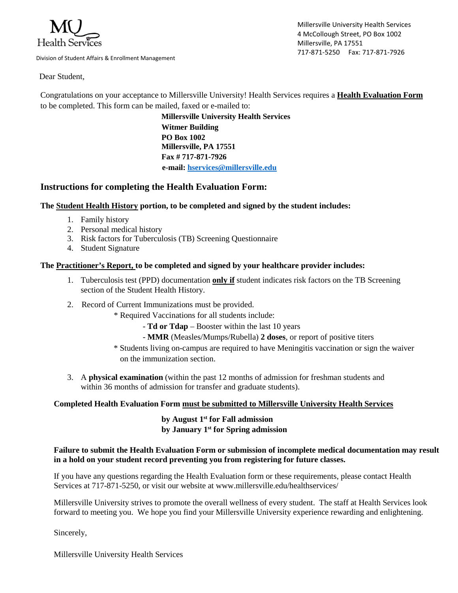

Division of Student Affairs & Enrollment Management

Millersville University Health Services 4 McCollough Street, PO Box 1002 Millersville, PA 17551 717-871-5250 Fax: 717-871-7926

Dear Student,

Congratulations on your acceptance to Millersville University! Health Services requires a **Health Evaluation Form** to be completed. This form can be mailed, faxed or e-mailed to:

> **Millersville University Health Services Witmer Building PO Box 1002 Millersville, PA 17551 Fax # 717-871-7926 e-mail: [hservices@millersville.edu](mailto:hservices@millersville.edu)**

# **Instructions for completing the Health Evaluation Form:**

## **The Student Health History portion, to be completed and signed by the student includes:**

- 1. Family history
- 2. Personal medical history
- 3. Risk factors for Tuberculosis (TB) Screening Questionnaire
- 4. Student Signature

#### **The Practitioner's Report, to be completed and signed by your healthcare provider includes:**

- 1. Tuberculosis test (PPD) documentation **only if** student indicates risk factors on the TB Screening section of the Student Health History.
- 2. Record of Current Immunizations must be provided.
	- \* Required Vaccinations for all students include:
		- **Td or Tdap** Booster within the last 10 years
		- **MMR** (Measles/Mumps/Rubella) **2 doses**, or report of positive titers
	- \* Students living on-campus are required to have Meningitis vaccination or sign the waiver on the immunization section.
- 3. A **physical examination** (within the past 12 months of admission for freshman students and within 36 months of admission for transfer and graduate students).

#### **Completed Health Evaluation Form must be submitted to Millersville University Health Services**

## **by August 1st for Fall admission by January 1st for Spring admission**

#### **Failure to submit the Health Evaluation Form or submission of incomplete medical documentation may result in a hold on your student record preventing you from registering for future classes.**

If you have any questions regarding the Health Evaluation form or these requirements, please contact Health Services at 717-871-5250, or visit our website at www.millersville.edu/healthservices/

Millersville University strives to promote the overall wellness of every student. The staff at Health Services look forward to meeting you. We hope you find your Millersville University experience rewarding and enlightening.

Sincerely,

Millersville University Health Services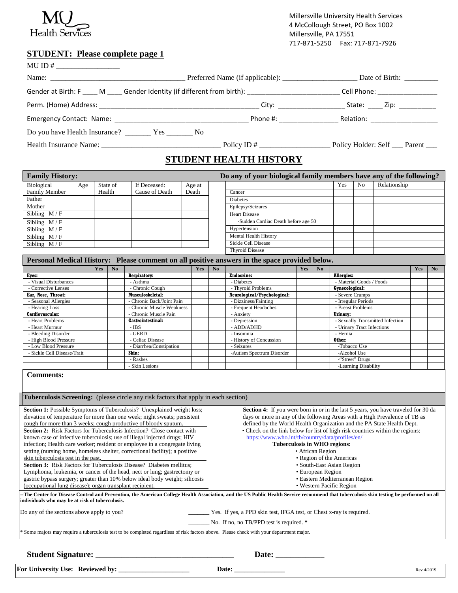

Millersville University Health Services 4 McCollough Street, PO Box 1002 Millersville, PA 17551 717-871-5250 Fax: 717-871-7926

### **STUDENT: Please complete page 1**

| MU ID # $\_$ |                               |  |  |  |  |  |
|--------------|-------------------------------|--|--|--|--|--|
|              |                               |  |  |  |  |  |
|              |                               |  |  |  |  |  |
|              |                               |  |  |  |  |  |
|              |                               |  |  |  |  |  |
|              |                               |  |  |  |  |  |
|              |                               |  |  |  |  |  |
|              | <b>STUDENT HEALTH HISTORY</b> |  |  |  |  |  |

| Do any of your biological family members have any of the following?<br><b>Family History:</b> |     |          |                |        |  |                                     |     |                |              |
|-----------------------------------------------------------------------------------------------|-----|----------|----------------|--------|--|-------------------------------------|-----|----------------|--------------|
| Biological                                                                                    | Age | State of | If Deceased:   | Age at |  |                                     | Yes | N <sub>0</sub> | Relationship |
| <b>Family Member</b>                                                                          |     | Health   | Cause of Death | Death  |  | Cancer                              |     |                |              |
| Father                                                                                        |     |          |                |        |  | <b>Diabetes</b>                     |     |                |              |
| Mother                                                                                        |     |          |                |        |  | Epilepsy/Seizures                   |     |                |              |
| Sibling $M/F$                                                                                 |     |          |                |        |  | <b>Heart Disease</b>                |     |                |              |
| Sibling $M/F$                                                                                 |     |          |                |        |  | -Sudden Cardiac Death before age 50 |     |                |              |
| Sibling $M/F$                                                                                 |     |          |                |        |  | Hypertension                        |     |                |              |
| Sibling $M/F$                                                                                 |     |          |                |        |  | Mental Health History               |     |                |              |
| Sibling $M/F$                                                                                 |     |          |                |        |  | Sickle Cell Disease                 |     |                |              |
|                                                                                               |     |          |                |        |  | <b>Thyroid Disease</b>              |     |                |              |

|                                                                                                                                                              |     |                |                                                                           |     |                                | Personal Medical History: Please comment on all positive answers in the space provided below. |     |    |                                  |     |    |  |  |
|--------------------------------------------------------------------------------------------------------------------------------------------------------------|-----|----------------|---------------------------------------------------------------------------|-----|--------------------------------|-----------------------------------------------------------------------------------------------|-----|----|----------------------------------|-----|----|--|--|
|                                                                                                                                                              | Yes | N <sub>0</sub> |                                                                           | Yes | No                             |                                                                                               | Yes | No |                                  | Yes | No |  |  |
| Eyes:                                                                                                                                                        |     |                | <b>Respiratory:</b>                                                       |     |                                | <b>Endocrine:</b>                                                                             |     |    | <b>Allergies:</b>                |     |    |  |  |
| - Visual Disturbances                                                                                                                                        |     |                | - Asthma                                                                  |     |                                | - Diabetes                                                                                    |     |    | - Material Goods / Foods         |     |    |  |  |
| Corrective Lenses                                                                                                                                            |     |                | - Chronic Cough                                                           |     |                                | - Thyroid Problems                                                                            |     |    | Gynecological:                   |     |    |  |  |
| Ear, Nose, Throat:                                                                                                                                           |     |                | Musculoskeletal:                                                          |     |                                | Neurological/Psychological:                                                                   |     |    | - Severe Cramps                  |     |    |  |  |
| - Seasonal Allergies                                                                                                                                         |     |                | - Chronic Back/Joint Pain                                                 |     |                                | - Dizziness/Fainting                                                                          |     |    | - Irregular Periods              |     |    |  |  |
| - Hearing Loss                                                                                                                                               |     |                | - Chronic Muscle Weakness                                                 |     |                                | - Frequent Headaches                                                                          |     |    | - Breast Problems                |     |    |  |  |
| Cardiovascular:                                                                                                                                              |     |                | - Chronic Muscle Pain                                                     |     |                                | - Anxiety                                                                                     |     |    | Urinary:                         |     |    |  |  |
| - Heart Problems                                                                                                                                             |     |                | <b>Gastrointestinal:</b>                                                  |     |                                | - Depression                                                                                  |     |    | - Sexually Transmitted Infection |     |    |  |  |
| - Heart Murmur                                                                                                                                               |     |                | - IBS                                                                     |     |                                | - ADD/ADHD                                                                                    |     |    | - Urinary Tract Infections       |     |    |  |  |
| - Bleeding Disorder                                                                                                                                          |     |                | - GERD                                                                    |     |                                | - Insomnia                                                                                    |     |    | - Hernia                         |     |    |  |  |
| - High Blood Pressure                                                                                                                                        |     |                | - Celiac Disease                                                          |     |                                | - History of Concussion                                                                       |     |    | Other:                           |     |    |  |  |
| - Low Blood Pressure                                                                                                                                         |     |                | - Diarrhea/Constipation                                                   |     |                                | - Seizures                                                                                    |     |    | -Tobacco Use                     |     |    |  |  |
| - Sickle Cell Disease/Trait                                                                                                                                  |     |                | Skin:                                                                     |     |                                | -Autism Spectrum Disorder                                                                     |     |    | -Alcohol Use                     |     |    |  |  |
|                                                                                                                                                              |     |                | - Rashes                                                                  |     |                                |                                                                                               |     |    | -"Street" Drugs                  |     |    |  |  |
|                                                                                                                                                              |     |                | - Skin Lesions                                                            |     |                                |                                                                                               |     |    | -Learning Disability             |     |    |  |  |
| <b>Tuberculosis Screening:</b> (please circle any risk factors that apply in each section)                                                                   |     |                |                                                                           |     |                                |                                                                                               |     |    |                                  |     |    |  |  |
|                                                                                                                                                              |     |                |                                                                           |     |                                |                                                                                               |     |    |                                  |     |    |  |  |
| Section 1: Possible Symptoms of Tuberculosis? Unexplained weight loss;<br>Section 4: If you were born in or in the last 5 years, you have traveled for 30 da |     |                |                                                                           |     |                                |                                                                                               |     |    |                                  |     |    |  |  |
|                                                                                                                                                              |     |                | elevation of temperature for more than one week; night sweats; persistent |     |                                | days or more in any of the following Areas with a High Prevalence of TB as                    |     |    |                                  |     |    |  |  |
| cough for more than 3 weeks; cough productive of bloody sputum.                                                                                              |     |                |                                                                           |     |                                | defined by the World Health Organization and the PA State Health Dept.                        |     |    |                                  |     |    |  |  |
| <b>Section 2:</b> Risk Factors for Tuberculosis Infection? Close contact with                                                                                |     |                |                                                                           |     |                                | • Check on the link below for list of high risk countries within the regions:                 |     |    |                                  |     |    |  |  |
| known case of infective tuberculosis; use of illegal injected drugs; HIV                                                                                     |     |                |                                                                           |     |                                | https://www.who.int/tb/country/data/profiles/en/                                              |     |    |                                  |     |    |  |  |
| infection; Health care worker; resident or employee in a congregate living                                                                                   |     |                |                                                                           |     |                                | <b>Tuberculosis in WHO regions:</b>                                                           |     |    |                                  |     |    |  |  |
| setting (nursing home, homeless shelter, correctional facility); a positive                                                                                  |     |                |                                                                           |     |                                | • African Region                                                                              |     |    |                                  |     |    |  |  |
| skin tuberculosis test in the past.                                                                                                                          |     |                |                                                                           |     |                                | • Region of the Americas                                                                      |     |    |                                  |     |    |  |  |
| <b>Section 3:</b> Risk Factors for Tuberculosis Disease? Diabetes mellitus:                                                                                  |     |                |                                                                           |     |                                |                                                                                               |     |    |                                  |     |    |  |  |
|                                                                                                                                                              |     |                |                                                                           |     | • South-East Asian Region      |                                                                                               |     |    |                                  |     |    |  |  |
| Lymphoma, leukemia, or cancer of the head, nect or lung; gastrectomy or                                                                                      |     |                |                                                                           |     | • European Region              |                                                                                               |     |    |                                  |     |    |  |  |
| gastric bypass surgery; greater than 10% below ideal body weight; silicosis                                                                                  |     |                |                                                                           |     | • Eastern Mediterranean Region |                                                                                               |     |    |                                  |     |    |  |  |

gastric bypass surgery; greater than 10% below ideal body weight; silicosis • Eastern Mediterranean F<br>
(occupational lung disease); organ transplant recipient.<br>
• Western Pacific Region (occupational lung disease); organ transplant recipient. **--The Center for Disease Control and Prevention, the American College Health Association, and the US Public Health Service recommend that tuberculosis skin testing be performed on all individuals who may be at risk of tuberculosis.**

Low Yes. If yes, a PPD skin test, IFGA test, or Chest x-ray is required. \_\_\_\_\_\_\_ No. If no, no TB/PPD test is required. **\***

\* Some majors may require a tuberculosis test to be completed regardless of risk factors above. Please check with your department major.

**Student Signature: \_\_\_\_\_\_\_\_\_\_\_\_\_\_\_\_\_\_\_\_\_\_\_\_\_\_\_\_\_\_\_\_\_\_\_\_\_ Date: \_\_\_\_\_\_\_\_\_\_\_\_\_ For University Use: Reviewed by: \_\_\_\_\_\_\_\_\_\_\_\_\_\_\_\_\_\_\_\_\_ Date: \_\_\_\_\_\_\_\_\_\_\_\_\_\_\_** Rev 4/2019